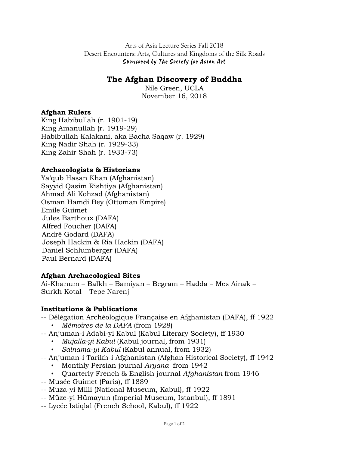Arts of Asia Lecture Series Fall 2018 Desert Encounters: Arts, Cultures and Kingdoms of the Silk Roads Sponsored by The Society for Asian Art

# **The Afghan Discovery of Buddha**

Nile Green, UCLA November 16, 2018

# **Afghan Rulers**

King Habibullah (r. 1901-19) King Amanullah (r. 1919-29) Habibullah Kalakani, aka Bacha Saqaw (r. 1929) King Nadir Shah (r. 1929-33) King Zahir Shah (r. 1933-73)

### **Archaeologists & Historians**

Ya'qub Hasan Khan (Afghanistan) Sayyid Qasim Rishtiya (Afghanistan) Ahmad Ali Kohzad (Afghanistan) Osman Hamdi Bey (Ottoman Empire) Émile Guimet Jules Barthoux (DAFA) Alfred Foucher (DAFA) André Godard (DAFA) Joseph Hackin & Ria Hackin (DAFA) Daniel Schlumberger (DAFA) Paul Bernard (DAFA)

#### **Afghan Archaeological Sites**

Ai-Khanum – Balkh – Bamiyan – Begram – Hadda – Mes Ainak – Surkh Kotal – Tepe Narenj

# **Institutions & Publications**

- -- Délégation Archéologique Française en Afghanistan (DAFA), ff 1922
	- *Mémoires de la DAFA* (from 1928)
- -- Anjuman-i Adabi-yi Kabul (Kabul Literary Society), ff 1930
	- *Mujalla-yi Kabul* (Kabul journal*,* from 1931)
	- *Salnama*-*yi Kabul* (Kabul annual*,* from 1932)
- -- Anjuman-i Tarikh-i Afghanistan (Afghan Historical Society), ff 1942
	- Monthly Persian journal *Aryana* from 1942
	- Quarterly French & English journal *Afghanistan* from 1946
- -- Musée Guimet (Paris), ff 1889
- -- Muza-yi Milli (National Museum, Kabul), ff 1922
- -- Müze-yi Hümayun (Imperial Museum, Istanbul), ff 1891
- -- Lycée Istiqlal (French School, Kabul), ff 1922